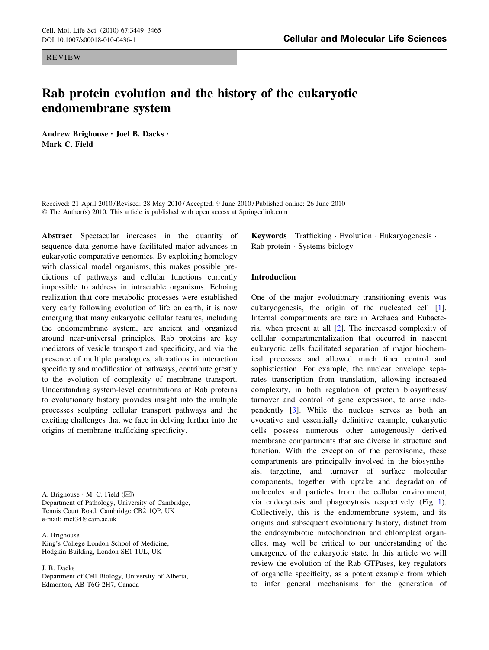REVIEW

# DOI 10.1007/s00018-010-0436-1 Cellular and Molecular Life Sciences

# Rab protein evolution and the history of the eukaryotic endomembrane system

Andrew Brighouse • Joel B. Dacks • Mark C. Field

Received: 21 April 2010 / Revised: 28 May 2010 / Accepted: 9 June 2010 / Published online: 26 June 2010 © The Author(s) 2010. This article is published with open access at Springerlink.com

Abstract Spectacular increases in the quantity of sequence data genome have facilitated major advances in eukaryotic comparative genomics. By exploiting homology with classical model organisms, this makes possible predictions of pathways and cellular functions currently impossible to address in intractable organisms. Echoing realization that core metabolic processes were established very early following evolution of life on earth, it is now emerging that many eukaryotic cellular features, including the endomembrane system, are ancient and organized around near-universal principles. Rab proteins are key mediators of vesicle transport and specificity, and via the presence of multiple paralogues, alterations in interaction specificity and modification of pathways, contribute greatly to the evolution of complexity of membrane transport. Understanding system-level contributions of Rab proteins to evolutionary history provides insight into the multiple processes sculpting cellular transport pathways and the exciting challenges that we face in delving further into the origins of membrane trafficking specificity.

A. Brighouse  $\cdot$  M. C. Field ( $\boxtimes$ ) Department of Pathology, University of Cambridge, Tennis Court Road, Cambridge CB2 1QP, UK e-mail: mcf34@cam.ac.uk

A. Brighouse King's College London School of Medicine, Hodgkin Building, London SE1 1UL, UK

J. B. Dacks

Department of Cell Biology, University of Alberta, Edmonton, AB T6G 2H7, Canada

Keywords Trafficking · Evolution · Eukaryogenesis · Rab protein - Systems biology

## Introduction

One of the major evolutionary transitioning events was eukaryogenesis, the origin of the nucleated cell [\[1](#page-13-0)]. Internal compartments are rare in Archaea and Eubacteria, when present at all [[2\]](#page-13-0). The increased complexity of cellular compartmentalization that occurred in nascent eukaryotic cells facilitated separation of major biochemical processes and allowed much finer control and sophistication. For example, the nuclear envelope separates transcription from translation, allowing increased complexity, in both regulation of protein biosynthesis/ turnover and control of gene expression, to arise independently [\[3](#page-13-0)]. While the nucleus serves as both an evocative and essentially definitive example, eukaryotic cells possess numerous other autogenously derived membrane compartments that are diverse in structure and function. With the exception of the peroxisome, these compartments are principally involved in the biosynthesis, targeting, and turnover of surface molecular components, together with uptake and degradation of molecules and particles from the cellular environment, via endocytosis and phagocytosis respectively (Fig. [1](#page-1-0)). Collectively, this is the endomembrane system, and its origins and subsequent evolutionary history, distinct from the endosymbiotic mitochondrion and chloroplast organelles, may well be critical to our understanding of the emergence of the eukaryotic state. In this article we will review the evolution of the Rab GTPases, key regulators of organelle specificity, as a potent example from which to infer general mechanisms for the generation of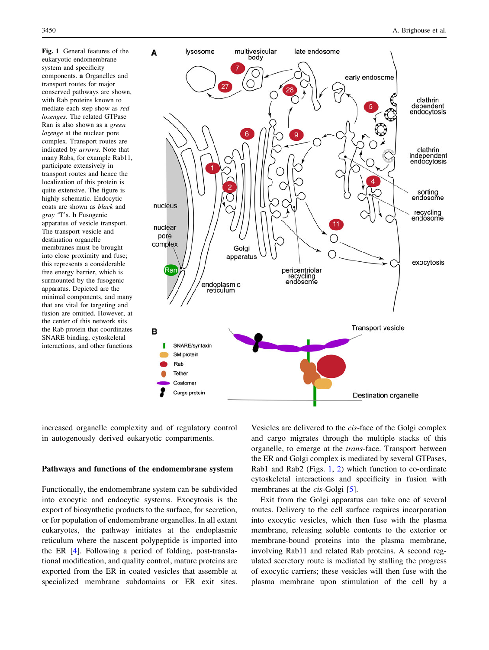<span id="page-1-0"></span>Fig. 1 General features of the eukaryotic endomembrane system and specificity components. a Organelles and transport routes for major conserved pathways are shown, with Rab proteins known to mediate each step show as red lozenges. The related GTPase Ran is also shown as a green lozenge at the nuclear pore complex. Transport routes are indicated by arrows. Note that many Rabs, for example Rab11, participate extensively in transport routes and hence the localization of this protein is quite extensive. The figure is highly schematic. Endocytic coats are shown as black and gray 'T's. b Fusogenic apparatus of vesicle transport. The transport vesicle and destination organelle membranes must be brought into close proximity and fuse; this represents a considerable free energy barrier, which is surmounted by the fusogenic apparatus. Depicted are the minimal components, and many that are vital for targeting and fusion are omitted. However, at the center of this network sits the Rab protein that coordinates SNARE binding, cytoskeletal interactions, and other functions



increased organelle complexity and of regulatory control in autogenously derived eukaryotic compartments.

#### Pathways and functions of the endomembrane system

Functionally, the endomembrane system can be subdivided into exocytic and endocytic systems. Exocytosis is the export of biosynthetic products to the surface, for secretion, or for population of endomembrane organelles. In all extant eukaryotes, the pathway initiates at the endoplasmic reticulum where the nascent polypeptide is imported into the ER [[4\]](#page-13-0). Following a period of folding, post-translational modification, and quality control, mature proteins are exported from the ER in coated vesicles that assemble at specialized membrane subdomains or ER exit sites.

Vesicles are delivered to the cis-face of the Golgi complex and cargo migrates through the multiple stacks of this organelle, to emerge at the trans-face. Transport between the ER and Golgi complex is mediated by several GTPases, Rab1 and Rab2 (Figs.  $1, 2$ ) which function to co-ordinate cytoskeletal interactions and specificity in fusion with membranes at the *cis*-Golgi [[5\]](#page-13-0).

Exit from the Golgi apparatus can take one of several routes. Delivery to the cell surface requires incorporation into exocytic vesicles, which then fuse with the plasma membrane, releasing soluble contents to the exterior or membrane-bound proteins into the plasma membrane, involving Rab11 and related Rab proteins. A second regulated secretory route is mediated by stalling the progress of exocytic carriers; these vesicles will then fuse with the plasma membrane upon stimulation of the cell by a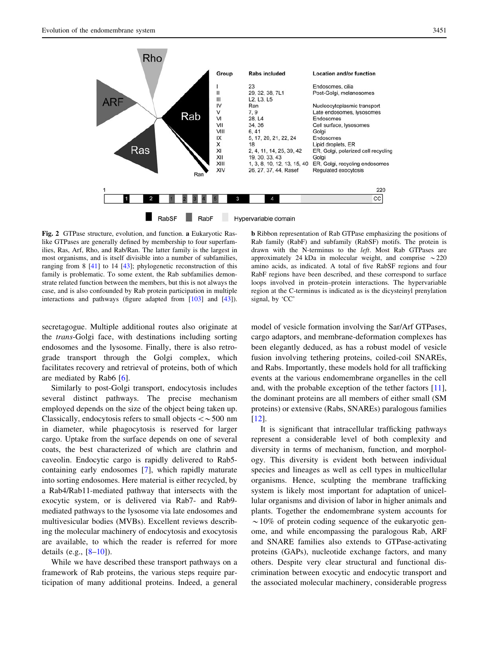<span id="page-2-0"></span>

Fig. 2 GTPase structure, evolution, and function. a Eukaryotic Raslike GTPases are generally defined by membership to four superfamilies, Ras, Arf, Rho, and Rab/Ran. The latter family is the largest in most organisms, and is itself divisible into a number of subfamilies, ranging from 8 [[41](#page-14-0)] to 14 [\[43\]](#page-14-0); phylogenetic reconstruction of this family is problematic. To some extent, the Rab subfamilies demonstrate related function between the members, but this is not always the case, and is also confounded by Rab protein participation in multiple interactions and pathways (figure adapted from [[103](#page-16-0)] and [[43](#page-14-0)]).

secretagogue. Multiple additional routes also originate at the trans-Golgi face, with destinations including sorting endosomes and the lysosome. Finally, there is also retrograde transport through the Golgi complex, which facilitates recovery and retrieval of proteins, both of which are mediated by Rab6 [[6\]](#page-13-0).

Similarly to post-Golgi transport, endocytosis includes several distinct pathways. The precise mechanism employed depends on the size of the object being taken up. Classically, endocytosis refers to small objects  $\lt\sim$  500 nm in diameter, while phagocytosis is reserved for larger cargo. Uptake from the surface depends on one of several coats, the best characterized of which are clathrin and caveolin. Endocytic cargo is rapidly delivered to Rab5 containing early endosomes [[7\]](#page-13-0), which rapidly maturate into sorting endosomes. Here material is either recycled, by a Rab4/Rab11-mediated pathway that intersects with the exocytic system, or is delivered via Rab7- and Rab9 mediated pathways to the lysosome via late endosomes and multivesicular bodies (MVBs). Excellent reviews describing the molecular machinery of endocytosis and exocytosis are available, to which the reader is referred for more details (e.g., [\[8–10](#page-14-0)]).

While we have described these transport pathways on a framework of Rab proteins, the various steps require participation of many additional proteins. Indeed, a general

b Ribbon representation of Rab GTPase emphasizing the positions of Rab family (RabF) and subfamily (RabSF) motifs. The protein is drawn with the N-terminus to the left. Most Rab GTPases are approximately 24 kDa in molecular weight, and comprise  $\sim$  220 amino acids, as indicated. A total of five RabSF regions and four RabF regions have been described, and these correspond to surface loops involved in protein–protein interactions. The hypervariable region at the C-terminus is indicated as is the dicysteinyl prenylation signal, by 'CC'

model of vesicle formation involving the Sar/Arf GTPases, cargo adaptors, and membrane-deformation complexes has been elegantly deduced, as has a robust model of vesicle fusion involving tethering proteins, coiled-coil SNAREs, and Rabs. Importantly, these models hold for all trafficking events at the various endomembrane organelles in the cell and, with the probable exception of the tether factors [\[11](#page-14-0)], the dominant proteins are all members of either small (SM proteins) or extensive (Rabs, SNAREs) paralogous families [\[12](#page-14-0)].

It is significant that intracellular trafficking pathways represent a considerable level of both complexity and diversity in terms of mechanism, function, and morphology. This diversity is evident both between individual species and lineages as well as cell types in multicellular organisms. Hence, sculpting the membrane trafficking system is likely most important for adaptation of unicellular organisms and division of labor in higher animals and plants. Together the endomembrane system accounts for  $\sim$  10% of protein coding sequence of the eukaryotic genome, and while encompassing the paralogous Rab, ARF and SNARE families also extends to GTPase-activating proteins (GAPs), nucleotide exchange factors, and many others. Despite very clear structural and functional discrimination between exocytic and endocytic transport and the associated molecular machinery, considerable progress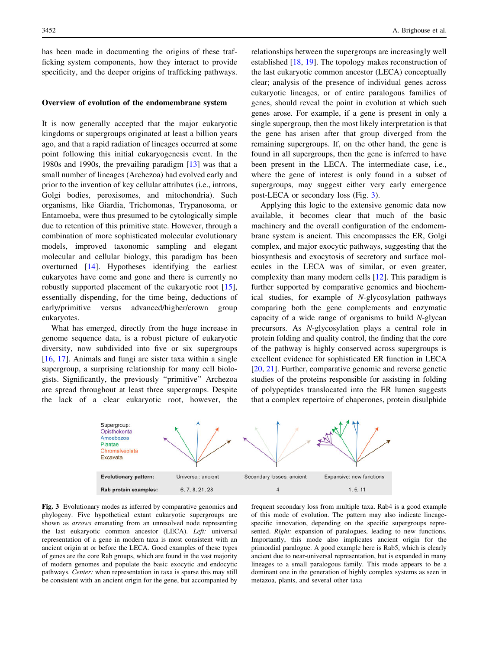<span id="page-3-0"></span>has been made in documenting the origins of these trafficking system components, how they interact to provide specificity, and the deeper origins of trafficking pathways.

#### Overview of evolution of the endomembrane system

It is now generally accepted that the major eukaryotic kingdoms or supergroups originated at least a billion years ago, and that a rapid radiation of lineages occurred at some point following this initial eukaryogenesis event. In the 1980s and 1990s, the prevailing paradigm [\[13](#page-14-0)] was that a small number of lineages (Archezoa) had evolved early and prior to the invention of key cellular attributes (i.e., introns, Golgi bodies, peroxisomes, and mitochondria). Such organisms, like Giardia, Trichomonas, Trypanosoma, or Entamoeba, were thus presumed to be cytologically simple due to retention of this primitive state. However, through a combination of more sophisticated molecular evolutionary models, improved taxonomic sampling and elegant molecular and cellular biology, this paradigm has been overturned [\[14](#page-14-0)]. Hypotheses identifying the earliest eukaryotes have come and gone and there is currently no robustly supported placement of the eukaryotic root [\[15](#page-14-0)], essentially dispending, for the time being, deductions of early/primitive versus advanced/higher/crown group eukaryotes.

What has emerged, directly from the huge increase in genome sequence data, is a robust picture of eukaryotic diversity, now subdivided into five or six supergroups [\[16](#page-14-0), [17](#page-14-0)]. Animals and fungi are sister taxa within a single supergroup, a surprising relationship for many cell biologists. Significantly, the previously ''primitive'' Archezoa are spread throughout at least three supergroups. Despite the lack of a clear eukaryotic root, however, the relationships between the supergroups are increasingly well established [[18,](#page-14-0) [19](#page-14-0)]. The topology makes reconstruction of the last eukaryotic common ancestor (LECA) conceptually clear; analysis of the presence of individual genes across eukaryotic lineages, or of entire paralogous families of genes, should reveal the point in evolution at which such genes arose. For example, if a gene is present in only a single supergroup, then the most likely interpretation is that the gene has arisen after that group diverged from the remaining supergroups. If, on the other hand, the gene is found in all supergroups, then the gene is inferred to have been present in the LECA. The intermediate case, i.e., where the gene of interest is only found in a subset of supergroups, may suggest either very early emergence post-LECA or secondary loss (Fig. 3).

Applying this logic to the extensive genomic data now available, it becomes clear that much of the basic machinery and the overall configuration of the endomembrane system is ancient. This encompasses the ER, Golgi complex, and major exocytic pathways, suggesting that the biosynthesis and exocytosis of secretory and surface molecules in the LECA was of similar, or even greater, complexity than many modern cells [[12](#page-14-0)]. This paradigm is further supported by comparative genomics and biochemical studies, for example of N-glycosylation pathways comparing both the gene complements and enzymatic capacity of a wide range of organisms to build N-glycan precursors. As N-glycosylation plays a central role in protein folding and quality control, the finding that the core of the pathway is highly conserved across supergroups is excellent evidence for sophisticated ER function in LECA [\[20](#page-14-0), [21](#page-14-0)]. Further, comparative genomic and reverse genetic studies of the proteins responsible for assisting in folding of polypeptides translocated into the ER lumen suggests that a complex repertoire of chaperones, protein disulphide



Fig. 3 Evolutionary modes as inferred by comparative genomics and phylogeny. Five hypothetical extant eukaryotic supergroups are shown as arrows emanating from an unresolved node representing the last eukaryotic common ancestor (LECA). Left: universal representation of a gene in modern taxa is most consistent with an ancient origin at or before the LECA. Good examples of these types of genes are the core Rab groups, which are found in the vast majority of modern genomes and populate the basic exocytic and endocytic pathways. Center: when representation in taxa is sparse this may still be consistent with an ancient origin for the gene, but accompanied by

frequent secondary loss from multiple taxa. Rab4 is a good example of this mode of evolution. The pattern may also indicate lineagespecific innovation, depending on the specific supergroups represented. Right: expansion of paralogues, leading to new functions. Importantly, this mode also implicates ancient origin for the primordial paralogue. A good example here is Rab5, which is clearly ancient due to near-universal representation, but is expanded in many lineages to a small paralogous family. This mode appears to be a dominant one in the generation of highly complex systems as seen in metazoa, plants, and several other taxa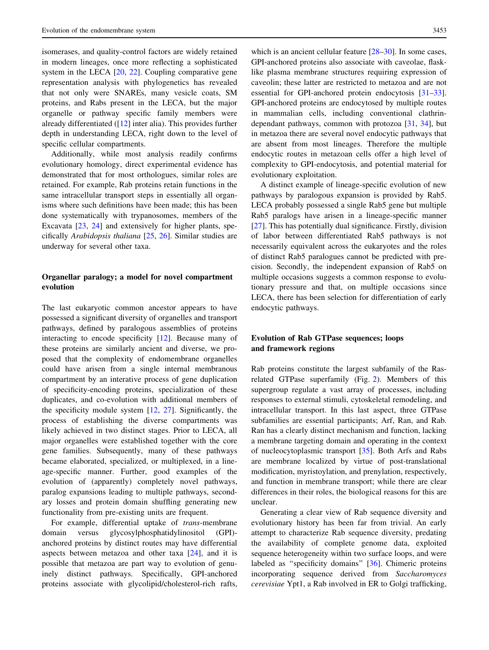isomerases, and quality-control factors are widely retained in modern lineages, once more reflecting a sophisticated system in the LECA [[20,](#page-14-0) [22\]](#page-14-0). Coupling comparative gene representation analysis with phylogenetics has revealed that not only were SNAREs, many vesicle coats, SM proteins, and Rabs present in the LECA, but the major organelle or pathway specific family members were already differentiated  $(12)$  inter alia). This provides further depth in understanding LECA, right down to the level of specific cellular compartments.

Additionally, while most analysis readily confirms evolutionary homology, direct experimental evidence has demonstrated that for most orthologues, similar roles are retained. For example, Rab proteins retain functions in the same intracellular transport steps in essentially all organisms where such definitions have been made; this has been done systematically with trypanosomes, members of the Excavata [\[23](#page-14-0), [24\]](#page-14-0) and extensively for higher plants, specifically Arabidopsis thaliana [\[25](#page-14-0), [26\]](#page-14-0). Similar studies are underway for several other taxa.

## Organellar paralogy; a model for novel compartment evolution

The last eukaryotic common ancestor appears to have possessed a significant diversity of organelles and transport pathways, defined by paralogous assemblies of proteins interacting to encode specificity [[12](#page-14-0)]. Because many of these proteins are similarly ancient and diverse, we proposed that the complexity of endomembrane organelles could have arisen from a single internal membranous compartment by an interative process of gene duplication of specificity-encoding proteins, specialization of these duplicates, and co-evolution with additional members of the specificity module system [\[12](#page-14-0), [27](#page-14-0)]. Significantly, the process of establishing the diverse compartments was likely achieved in two distinct stages. Prior to LECA, all major organelles were established together with the core gene families. Subsequently, many of these pathways became elaborated, specialized, or multiplexed, in a lineage-specific manner. Further, good examples of the evolution of (apparently) completely novel pathways, paralog expansions leading to multiple pathways, secondary losses and protein domain shuffling generating new functionality from pre-existing units are frequent.

For example, differential uptake of *trans*-membrane domain versus glycosylphosphatidylinositol (GPI) anchored proteins by distinct routes may have differential aspects between metazoa and other taxa  $[24]$  $[24]$ , and it is possible that metazoa are part way to evolution of genuinely distinct pathways. Specifically, GPI-anchored proteins associate with glycolipid/cholesterol-rich rafts,

which is an ancient cellular feature  $[28-30]$ . In some cases, GPI-anchored proteins also associate with caveolae, flasklike plasma membrane structures requiring expression of caveolin; these latter are restricted to metazoa and are not essential for GPI-anchored protein endocytosis [\[31–33](#page-14-0)]. GPI-anchored proteins are endocytosed by multiple routes in mammalian cells, including conventional clathrindependant pathways, common with protozoa [\[31](#page-14-0), [34](#page-14-0)], but in metazoa there are several novel endocytic pathways that are absent from most lineages. Therefore the multiple endocytic routes in metazoan cells offer a high level of complexity to GPI-endocytosis, and potential material for evolutionary exploitation.

A distinct example of lineage-specific evolution of new pathways by paralogous expansion is provided by Rab5. LECA probably possessed a single Rab5 gene but multiple Rab5 paralogs have arisen in a lineage-specific manner [\[27](#page-14-0)]. This has potentially dual significance. Firstly, division of labor between differentiated Rab5 pathways is not necessarily equivalent across the eukaryotes and the roles of distinct Rab5 paralogues cannot be predicted with precision. Secondly, the independent expansion of Rab5 on multiple occasions suggests a common response to evolutionary pressure and that, on multiple occasions since LECA, there has been selection for differentiation of early endocytic pathways.

# Evolution of Rab GTPase sequences; loops and framework regions

Rab proteins constitute the largest subfamily of the Rasrelated GTPase superfamily (Fig. [2](#page-2-0)). Members of this supergroup regulate a vast array of processes, including responses to external stimuli, cytoskeletal remodeling, and intracellular transport. In this last aspect, three GTPase subfamilies are essential participants; Arf, Ran, and Rab. Ran has a clearly distinct mechanism and function, lacking a membrane targeting domain and operating in the context of nucleocytoplasmic transport [[35\]](#page-14-0). Both Arfs and Rabs are membrane localized by virtue of post-translational modification, myristoylation, and prenylation, respectively, and function in membrane transport; while there are clear differences in their roles, the biological reasons for this are unclear.

Generating a clear view of Rab sequence diversity and evolutionary history has been far from trivial. An early attempt to characterize Rab sequence diversity, predating the availability of complete genome data, exploited sequence heterogeneity within two surface loops, and were labeled as ''specificity domains'' [\[36](#page-14-0)]. Chimeric proteins incorporating sequence derived from Saccharomyces cerevisiae Ypt1, a Rab involved in ER to Golgi trafficking,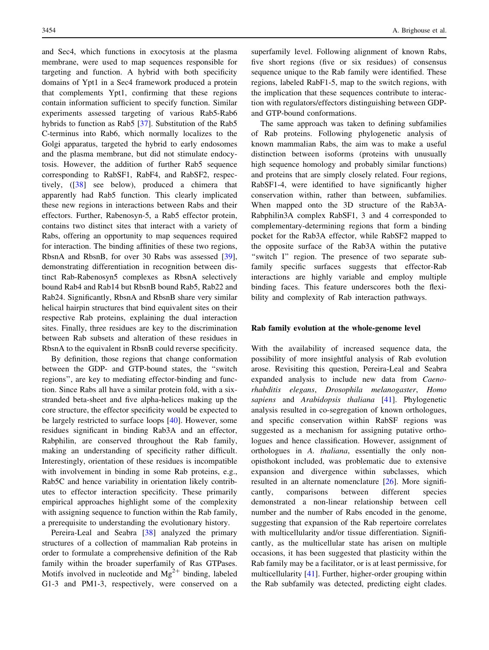and Sec4, which functions in exocytosis at the plasma membrane, were used to map sequences responsible for targeting and function. A hybrid with both specificity domains of Ypt1 in a Sec4 framework produced a protein that complements Ypt1, confirming that these regions contain information sufficient to specify function. Similar experiments assessed targeting of various Rab5-Rab6 hybrids to function as Rab5 [[37\]](#page-14-0). Substitution of the Rab5 C-terminus into Rab6, which normally localizes to the Golgi apparatus, targeted the hybrid to early endosomes and the plasma membrane, but did not stimulate endocytosis. However, the addition of further Rab5 sequence corresponding to RabSF1, RabF4, and RabSF2, respectively, ([[38\]](#page-14-0) see below), produced a chimera that apparently had Rab5 function. This clearly implicated these new regions in interactions between Rabs and their effectors. Further, Rabenosyn-5, a Rab5 effector protein, contains two distinct sites that interact with a variety of Rabs, offering an opportunity to map sequences required for interaction. The binding affinities of these two regions, RbsnA and RbsnB, for over 30 Rabs was assessed [\[39](#page-14-0)], demonstrating differentiation in recognition between distinct Rab-Rabenosyn5 complexes as RbsnA selectively bound Rab4 and Rab14 but RbsnB bound Rab5, Rab22 and Rab24. Significantly, RbsnA and RbsnB share very similar helical hairpin structures that bind equivalent sites on their respective Rab proteins, explaining the dual interaction sites. Finally, three residues are key to the discrimination between Rab subsets and alteration of these residues in RbsnA to the equivalent in RbsnB could reverse specificity.

By definition, those regions that change conformation between the GDP- and GTP-bound states, the ''switch regions'', are key to mediating effector-binding and function. Since Rabs all have a similar protein fold, with a sixstranded beta-sheet and five alpha-helices making up the core structure, the effector specificity would be expected to be largely restricted to surface loops [[40\]](#page-14-0). However, some residues significant in binding Rab3A and an effector, Rabphilin, are conserved throughout the Rab family, making an understanding of specificity rather difficult. Interestingly, orientation of these residues is incompatible with involvement in binding in some Rab proteins, e.g., Rab5C and hence variability in orientation likely contributes to effector interaction specificity. These primarily empirical approaches highlight some of the complexity with assigning sequence to function within the Rab family, a prerequisite to understanding the evolutionary history.

Pereira-Leal and Seabra [[38\]](#page-14-0) analyzed the primary structures of a collection of mammalian Rab proteins in order to formulate a comprehensive definition of the Rab family within the broader superfamily of Ras GTPases. Motifs involved in nucleotide and  $Mg^{2+}$  binding, labeled G1-3 and PM1-3, respectively, were conserved on a superfamily level. Following alignment of known Rabs, five short regions (five or six residues) of consensus sequence unique to the Rab family were identified. These regions, labeled RabF1-5, map to the switch regions, with the implication that these sequences contribute to interaction with regulators/effectors distinguishing between GDPand GTP-bound conformations.

The same approach was taken to defining subfamilies of Rab proteins. Following phylogenetic analysis of known mammalian Rabs, the aim was to make a useful distinction between isoforms (proteins with unusually high sequence homology and probably similar functions) and proteins that are simply closely related. Four regions, RabSF1-4, were identified to have significantly higher conservation within, rather than between, subfamilies. When mapped onto the 3D structure of the Rab3A-Rabphilin3A complex RabSF1, 3 and 4 corresponded to complementary-determining regions that form a binding pocket for the Rab3A effector, while RabSF2 mapped to the opposite surface of the Rab3A within the putative "switch I" region. The presence of two separate subfamily specific surfaces suggests that effector-Rab interactions are highly variable and employ multiple binding faces. This feature underscores both the flexibility and complexity of Rab interaction pathways.

#### Rab family evolution at the whole-genome level

With the availability of increased sequence data, the possibility of more insightful analysis of Rab evolution arose. Revisiting this question, Pereira-Leal and Seabra expanded analysis to include new data from Caenorhabditis elegans, Drosophila melanogaster, Homo sapiens and Arabidopsis thaliana [\[41\]](#page-14-0). Phylogenetic analysis resulted in co-segregation of known orthologues, and specific conservation within RabSF regions was suggested as a mechanism for assigning putative orthologues and hence classification. However, assignment of orthologues in A. thaliana, essentially the only nonopisthokont included, was problematic due to extensive expansion and divergence within subclasses, which resulted in an alternate nomenclature [[26\]](#page-14-0). More significantly, comparisons between different species demonstrated a non-linear relationship between cell number and the number of Rabs encoded in the genome, suggesting that expansion of the Rab repertoire correlates with multicellularity and/or tissue differentiation. Significantly, as the multicellular state has arisen on multiple occasions, it has been suggested that plasticity within the Rab family may be a facilitator, or is at least permissive, for multicellularity [\[41](#page-14-0)]. Further, higher-order grouping within the Rab subfamily was detected, predicting eight clades.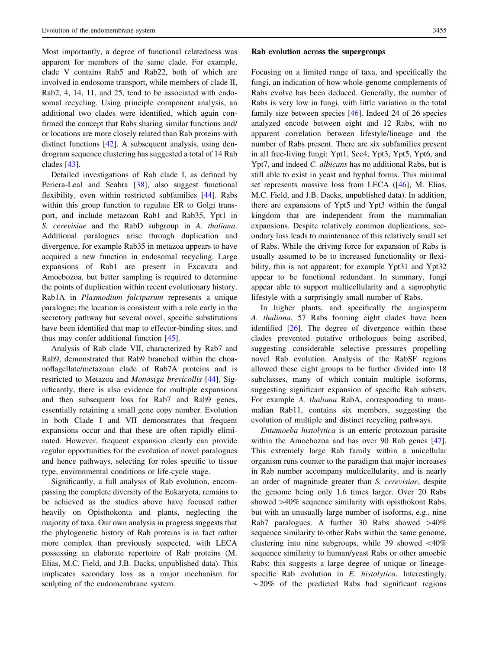Most importantly, a degree of functional relatedness was apparent for members of the same clade. For example, clade V contains Rab5 and Rab22, both of which are involved in endosome transport, while members of clade II, Rab2, 4, 14, 11, and 25, tend to be associated with endosomal recycling. Using principle component analysis, an additional two clades were identified, which again confirmed the concept that Rabs sharing similar functions and/ or locations are more closely related than Rab proteins with distinct functions [[42\]](#page-14-0). A subsequent analysis, using dendrogram sequence clustering has suggested a total of 14 Rab clades [\[43](#page-14-0)].

Detailed investigations of Rab clade I, as defined by Periera-Leal and Seabra [\[38](#page-14-0)], also suggest functional flexibility, even within restricted subfamilies [\[44](#page-14-0)]. Rabs within this group function to regulate ER to Golgi transport, and include metazoan Rab1 and Rab35, Ypt1 in S. cerevisiae and the RabD subgroup in A. thaliana. Additional paralogues arise through duplication and divergence, for example Rab35 in metazoa appears to have acquired a new function in endosomal recycling. Large expansions of Rab1 are present in Excavata and Amoebozoa, but better sampling is required to determine the points of duplication within recent evolutionary history. Rab1A in Plasmodium falciparum represents a unique paralogue; the location is consistent with a role early in the secretory pathway but several novel, specific substitutions have been identified that map to effector-binding sites, and thus may confer additional function [[45\]](#page-14-0).

Analysis of Rab clade VII, characterized by Rab7 and Rab9, demonstrated that Rab9 branched within the choanoflagellate/metazoan clade of Rab7A proteins and is restricted to Metazoa and Monosiga brevicollis [[44\]](#page-14-0). Significantly, there is also evidence for multiple expansions and then subsequent loss for Rab7 and Rab9 genes, essentially retaining a small gene copy number. Evolution in both Clade I and VII demonstrates that frequent expansions occur and that these are often rapidly eliminated. However, frequent expansion clearly can provide regular opportunities for the evolution of novel paralogues and hence pathways, selecting for roles specific to tissue type, environmental conditions or life-cycle stage.

Significantly, a full analysis of Rab evolution, encompassing the complete diversity of the Eukaryota, remains to be achieved as the studies above have focused rather heavily on Opisthokonta and plants, neglecting the majority of taxa. Our own analysis in progress suggests that the phylogenetic history of Rab proteins is in fact rather more complex than previously suspected, with LECA possessing an elaborate repertoire of Rab proteins (M. Elias, M.C. Field, and J.B. Dacks, unpublished data). This implicates secondary loss as a major mechanism for sculpting of the endomembrane system.

#### Rab evolution across the supergroups

Focusing on a limited range of taxa, and specifically the fungi, an indication of how whole-genome complements of Rabs evolve has been deduced. Generally, the number of Rabs is very low in fungi, with little variation in the total family size between species [\[46](#page-14-0)]. Indeed 24 of 26 species analyzed encode between eight and 12 Rabs, with no apparent correlation between lifestyle/lineage and the number of Rabs present. There are six subfamilies present in all free-living fungi: Ypt1, Sec4, Ypt3, Ypt5, Ypt6, and Ypt7, and indeed C. albicans has no additional Rabs, but is still able to exist in yeast and hyphal forms. This minimal set represents massive loss from LECA ([\[46](#page-14-0)], M. Elias, M.C. Field, and J.B. Dacks, unpublished data). In addition, there are expansions of Ypt5 and Ypt3 within the fungal kingdom that are independent from the mammalian expansions. Despite relatively common duplications, secondary loss leads to maintenance of this relatively small set of Rabs. While the driving force for expansion of Rabs is usually assumed to be to increased functionality or flexibility, this is not apparent; for example Ypt31 and Ypt32 appear to be functional redundant. In summary, fungi appear able to support multicellularity and a saprophytic lifestyle with a surprisingly small number of Rabs.

In higher plants, and specifically the angiosperm A. thaliana, 57 Rabs forming eight clades have been identified [\[26](#page-14-0)]. The degree of divergence within these clades prevented putative orthologues being ascribed, suggesting considerable selective pressures propelling novel Rab evolution. Analysis of the RabSF regions allowed these eight groups to be further divided into 18 subclasses, many of which contain multiple isoforms, suggesting significant expansion of specific Rab subsets. For example A. thaliana RabA, corresponding to mammalian Rab11, contains six members, suggesting the evolution of multiple and distinct recycling pathways.

Entamoeba histolytica is an enteric protozoan parasite within the Amoebozoa and has over 90 Rab genes [\[47](#page-14-0)]. This extremely large Rab family within a unicellular organism runs counter to the paradigm that major increases in Rab number accompany multicellularity, and is nearly an order of magnitude greater than S. cerevisiae, despite the genome being only 1.6 times larger. Over 20 Rabs showed  $>40\%$  sequence similarity with opisthokont Rabs, but with an unusually large number of isoforms, e.g., nine Rab7 paralogues. A further 30 Rabs showed  $>40\%$ sequence similarity to other Rabs within the same genome, clustering into nine subgroups, while 39 showed  $\langle 40\%$ sequence similarity to human/yeast Rabs or other amoebic Rabs; this suggests a large degree of unique or lineagespecific Rab evolution in E. histolytica. Interestingly,  $\sim$  20% of the predicted Rabs had significant regions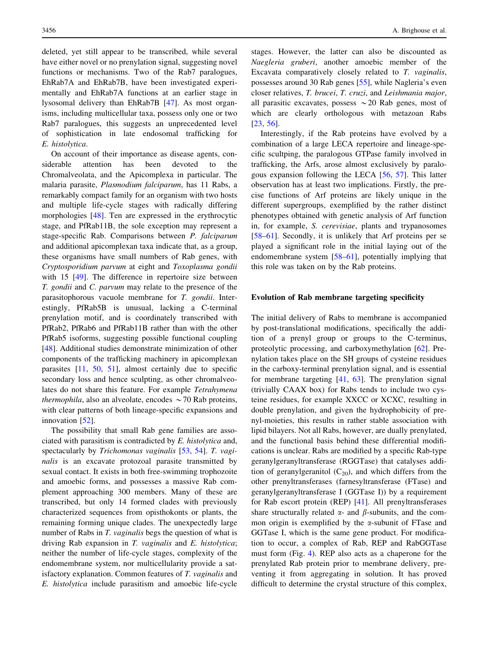deleted, yet still appear to be transcribed, while several have either novel or no prenylation signal, suggesting novel functions or mechanisms. Two of the Rab7 paralogues, EhRab7A and EhRab7B, have been investigated experimentally and EhRab7A functions at an earlier stage in lysosomal delivery than EhRab7B [[47\]](#page-14-0). As most organisms, including multicellular taxa, possess only one or two Rab7 paralogues, this suggests an unprecedented level of sophistication in late endosomal trafficking for E. histolytica.

On account of their importance as disease agents, considerable attention has been devoted to the Chromalveolata, and the Apicomplexa in particular. The malaria parasite, Plasmodium falciparum, has 11 Rabs, a remarkably compact family for an organism with two hosts and multiple life-cycle stages with radically differing morphologies [\[48](#page-14-0)]. Ten are expressed in the erythrocytic stage, and PfRab11B, the sole exception may represent a stage-specific Rab. Comparisons between P. falciparum and additional apicomplexan taxa indicate that, as a group, these organisms have small numbers of Rab genes, with Cryptosporidium parvum at eight and Toxoplasma gondii with 15 [[49\]](#page-14-0). The difference in repertoire size between T. gondii and C. parvum may relate to the presence of the parasitophorous vacuole membrane for T. gondii. Interestingly, PfRab5B is unusual, lacking a C-terminal prenylation motif, and is coordinately transcribed with PfRab2, PfRab6 and PfRab11B rather than with the other PfRab5 isoforms, suggesting possible functional coupling [\[48](#page-14-0)]. Additional studies demonstrate minimization of other components of the trafficking machinery in apicomplexan parasites [[11,](#page-14-0) [50,](#page-15-0) [51\]](#page-15-0), almost certainly due to specific secondary loss and hence sculpting, as other chromalveolates do not share this feature. For example Tetrahymena thermophila, also an alveolate, encodes  $\sim$  70 Rab proteins, with clear patterns of both lineage-specific expansions and innovation [[52](#page-15-0)].

The possibility that small Rab gene families are associated with parasitism is contradicted by E. histolytica and, spectacularly by Trichomonas vaginalis [\[53](#page-15-0), [54](#page-15-0)]. T. vaginalis is an excavate protozoal parasite transmitted by sexual contact. It exists in both free-swimming trophozoite and amoebic forms, and possesses a massive Rab complement approaching 300 members. Many of these are transcribed, but only 14 formed clades with previously characterized sequences from opisthokonts or plants, the remaining forming unique clades. The unexpectedly large number of Rabs in T. *vaginalis* begs the question of what is driving Rab expansion in T. vaginalis and E. histolytica; neither the number of life-cycle stages, complexity of the endomembrane system, nor multicellularity provide a satisfactory explanation. Common features of T. vaginalis and E. histolytica include parasitism and amoebic life-cycle stages. However, the latter can also be discounted as Naegleria gruberi, another amoebic member of the Excavata comparatively closely related to T. vaginalis, possesses around 30 Rab genes [[55\]](#page-15-0), while Nagleria's even closer relatives, T. brucei, T. cruzi, and Leishmania major, all parasitic excavates, possess  $\sim$  20 Rab genes, most of which are clearly orthologous with metazoan Rabs [\[23](#page-14-0), [56](#page-15-0)].

Interestingly, if the Rab proteins have evolved by a combination of a large LECA repertoire and lineage-specific scultping, the paralogous GTPase family involved in trafficking, the Arfs, arose almost exclusively by paralogous expansion following the LECA [[56,](#page-15-0) [57](#page-15-0)]. This latter observation has at least two implications. Firstly, the precise functions of Arf proteins are likely unique in the different supergroups, exemplified by the rather distinct phenotypes obtained with genetic analysis of Arf function in, for example, S. cerevisiae, plants and trypanosomes [\[58–61](#page-15-0)]. Secondly, it is unlikely that Arf proteins per se played a significant role in the initial laying out of the endomembrane system [\[58–61](#page-15-0)], potentially implying that this role was taken on by the Rab proteins.

#### Evolution of Rab membrane targeting specificity

The initial delivery of Rabs to membrane is accompanied by post-translational modifications, specifically the addition of a prenyl group or groups to the C-terminus, proteolytic processing, and carboxymethylation [[62\]](#page-15-0). Prenylation takes place on the SH groups of cysteine residues in the carboxy-terminal prenylation signal, and is essential for membrane targeting [[41,](#page-14-0) [63\]](#page-15-0). The prenylation signal (trivially CAAX box) for Rabs tends to include two cysteine residues, for example XXCC or XCXC, resulting in double prenylation, and given the hydrophobicity of prenyl-moieties, this results in rather stable association with lipid bilayers. Not all Rabs, however, are dually prenylated, and the functional basis behind these differential modifications is unclear. Rabs are modified by a specific Rab-type geranylgeranyltransferase (RGGTase) that catalyses addition of geranylgeranitol  $(C_{20})$ , and which differs from the other prenyltransferases (farnesyltransferase (FTase) and geranylgeranyltransferase I (GGTase I)) by a requirement for Rab escort protein (REP) [[41\]](#page-14-0). All prenyltransferases share structurally related  $\alpha$ - and  $\beta$ -subunits, and the common origin is exemplified by the  $\alpha$ -subunit of FTase and GGTase I, which is the same gene product. For modification to occur, a complex of Rab, REP and RabGGTase must form (Fig. [4](#page-8-0)). REP also acts as a chaperone for the prenylated Rab protein prior to membrane delivery, preventing it from aggregating in solution. It has proved difficult to determine the crystal structure of this complex,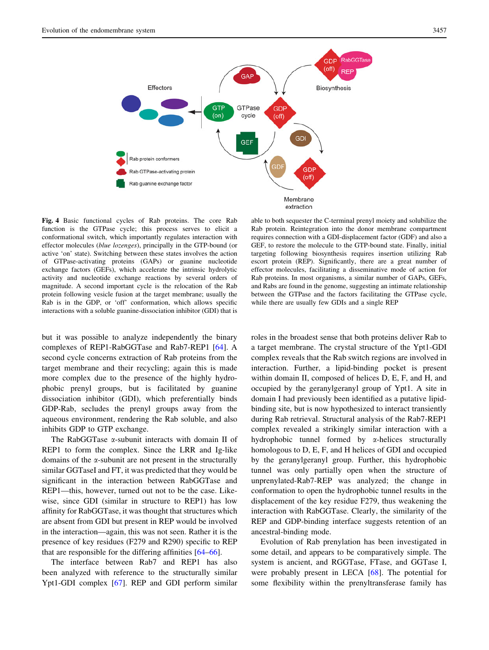<span id="page-8-0"></span>

Fig. 4 Basic functional cycles of Rab proteins. The core Rab function is the GTPase cycle; this process serves to elicit a conformational switch, which importantly regulates interaction with effector molecules (blue lozenges), principally in the GTP-bound (or active 'on' state). Switching between these states involves the action of GTPase-activating proteins (GAPs) or guanine nucleotide exchange factors (GEFs), which accelerate the intrinsic hydrolytic activity and nucleotide exchange reactions by several orders of magnitude. A second important cycle is the relocation of the Rab protein following vesicle fusion at the target membrane; usually the Rab is in the GDP, or 'off' conformation, which allows specific interactions with a soluble guanine-dissociation inhibitor (GDI) that is

but it was possible to analyze independently the binary complexes of REP1-RabGGTase and Rab7-REP1 [\[64](#page-15-0)]. A second cycle concerns extraction of Rab proteins from the target membrane and their recycling; again this is made more complex due to the presence of the highly hydrophobic prenyl groups, but is facilitated by guanine dissociation inhibitor (GDI), which preferentially binds GDP-Rab, secludes the prenyl groups away from the aqueous environment, rendering the Rab soluble, and also inhibits GDP to GTP exchange.

The RabGGTase  $\alpha$ -subunit interacts with domain II of REP1 to form the complex. Since the LRR and Ig-like domains of the  $\alpha$ -subunit are not present in the structurally similar GGTaseI and FT, it was predicted that they would be significant in the interaction between RabGGTase and REP1—this, however, turned out not to be the case. Likewise, since GDI (similar in structure to REP1) has low affinity for RabGGTase, it was thought that structures which are absent from GDI but present in REP would be involved in the interaction—again, this was not seen. Rather it is the presence of key residues (F279 and R290) specific to REP that are responsible for the differing affinities [\[64–66](#page-15-0)].

The interface between Rab7 and REP1 has also been analyzed with reference to the structurally similar Ypt1-GDI complex [\[67](#page-15-0)]. REP and GDI perform similar

able to both sequester the C-terminal prenyl moiety and solubilize the Rab protein. Reintegration into the donor membrane compartment requires connection with a GDI-displacement factor (GDF) and also a GEF, to restore the molecule to the GTP-bound state. Finally, initial targeting following biosynthesis requires insertion utilizing Rab escort protein (REP). Significantly, there are a great number of effector molecules, facilitating a disseminative mode of action for Rab proteins. In most organisms, a similar number of GAPs, GEFs, and Rabs are found in the genome, suggesting an intimate relationship between the GTPase and the factors facilitating the GTPase cycle, while there are usually few GDIs and a single REP

roles in the broadest sense that both proteins deliver Rab to a target membrane. The crystal structure of the Ypt1-GDI complex reveals that the Rab switch regions are involved in interaction. Further, a lipid-binding pocket is present within domain II, composed of helices D, E, F, and H, and occupied by the geranylgeranyl group of Ypt1. A site in domain I had previously been identified as a putative lipidbinding site, but is now hypothesized to interact transiently during Rab retrieval. Structural analysis of the Rab7-REP1 complex revealed a strikingly similar interaction with a hydrophobic tunnel formed by a-helices structurally homologous to D, E, F, and H helices of GDI and occupied by the geranylgeranyl group. Further, this hydrophobic tunnel was only partially open when the structure of unprenylated-Rab7-REP was analyzed; the change in conformation to open the hydrophobic tunnel results in the displacement of the key residue F279, thus weakening the interaction with RabGGTase. Clearly, the similarity of the REP and GDP-binding interface suggests retention of an ancestral-binding mode.

Evolution of Rab prenylation has been investigated in some detail, and appears to be comparatively simple. The system is ancient, and RGGTase, FTase, and GGTase I, were probably present in LECA [[68](#page-15-0)]. The potential for some flexibility within the prenyltransferase family has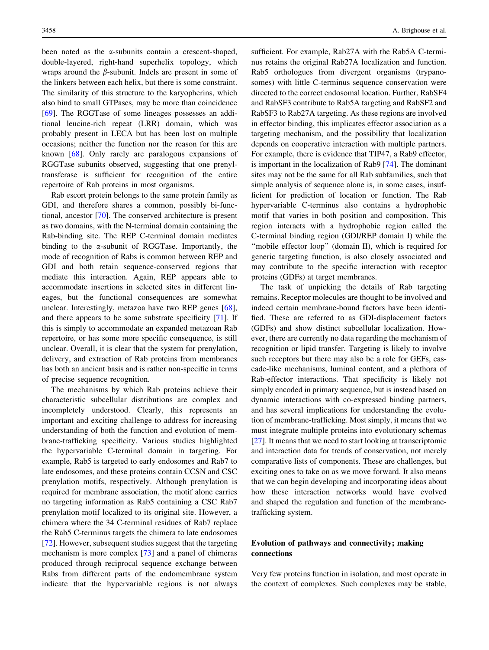been noted as the  $\alpha$ -subunits contain a crescent-shaped, double-layered, right-hand superhelix topology, which wraps around the  $\beta$ -subunit. Indels are present in some of the linkers between each helix, but there is some constraint. The similarity of this structure to the karyopherins, which also bind to small GTPases, may be more than coincidence [\[69](#page-15-0)]. The RGGTase of some lineages possesses an additional leucine-rich repeat (LRR) domain, which was probably present in LECA but has been lost on multiple occasions; neither the function nor the reason for this are known [\[68](#page-15-0)]. Only rarely are paralogous expansions of RGGTase subunits observed, suggesting that one prenyltransferase is sufficient for recognition of the entire repertoire of Rab proteins in most organisms.

Rab escort protein belongs to the same protein family as GDI, and therefore shares a common, possibly bi-functional, ancestor [\[70](#page-15-0)]. The conserved architecture is present as two domains, with the N-terminal domain containing the Rab-binding site. The REP C-terminal domain mediates binding to the  $\alpha$ -subunit of RGGTase. Importantly, the mode of recognition of Rabs is common between REP and GDI and both retain sequence-conserved regions that mediate this interaction. Again, REP appears able to accommodate insertions in selected sites in different lineages, but the functional consequences are somewhat unclear. Interestingly, metazoa have two REP genes [\[68](#page-15-0)], and there appears to be some substrate specificity [\[71](#page-15-0)]. If this is simply to accommodate an expanded metazoan Rab repertoire, or has some more specific consequence, is still unclear. Overall, it is clear that the system for prenylation, delivery, and extraction of Rab proteins from membranes has both an ancient basis and is rather non-specific in terms of precise sequence recognition.

The mechanisms by which Rab proteins achieve their characteristic subcellular distributions are complex and incompletely understood. Clearly, this represents an important and exciting challenge to address for increasing understanding of both the function and evolution of membrane-trafficking specificity. Various studies highlighted the hypervariable C-terminal domain in targeting. For example, Rab5 is targeted to early endosomes and Rab7 to late endosomes, and these proteins contain CCSN and CSC prenylation motifs, respectively. Although prenylation is required for membrane association, the motif alone carries no targeting information as Rab5 containing a CSC Rab7 prenylation motif localized to its original site. However, a chimera where the 34 C-terminal residues of Rab7 replace the Rab5 C-terminus targets the chimera to late endosomes [\[72](#page-15-0)]. However, subsequent studies suggest that the targeting mechanism is more complex [[73\]](#page-15-0) and a panel of chimeras produced through reciprocal sequence exchange between Rabs from different parts of the endomembrane system indicate that the hypervariable regions is not always sufficient. For example, Rab27A with the Rab5A C-terminus retains the original Rab27A localization and function. Rab5 orthologues from divergent organisms (trypanosomes) with little C-terminus sequence conservation were directed to the correct endosomal location. Further, RabSF4 and RabSF3 contribute to Rab5A targeting and RabSF2 and RabSF3 to Rab27A targeting. As these regions are involved in effector binding, this implicates effector association as a targeting mechanism, and the possibility that localization depends on cooperative interaction with multiple partners. For example, there is evidence that TIP47, a Rab9 effector, is important in the localization of Rab9 [[74\]](#page-15-0). The dominant sites may not be the same for all Rab subfamilies, such that simple analysis of sequence alone is, in some cases, insufficient for prediction of location or function. The Rab hypervariable C-terminus also contains a hydrophobic motif that varies in both position and composition. This region interacts with a hydrophobic region called the C-terminal binding region (GDI/REP domain I) while the "mobile effector loop" (domain II), which is required for generic targeting function, is also closely associated and may contribute to the specific interaction with receptor proteins (GDFs) at target membranes.

The task of unpicking the details of Rab targeting remains. Receptor molecules are thought to be involved and indeed certain membrane-bound factors have been identified. These are referred to as GDI-displacement factors (GDFs) and show distinct subcellular localization. However, there are currently no data regarding the mechanism of recognition or lipid transfer. Targeting is likely to involve such receptors but there may also be a role for GEFs, cascade-like mechanisms, luminal content, and a plethora of Rab-effector interactions. That specificity is likely not simply encoded in primary sequence, but is instead based on dynamic interactions with co-expressed binding partners, and has several implications for understanding the evolution of membrane-trafficking. Most simply, it means that we must integrate multiple proteins into evolutionary schemas [\[27](#page-14-0)]. It means that we need to start looking at transcriptomic and interaction data for trends of conservation, not merely comparative lists of components. These are challenges, but exciting ones to take on as we move forward. It also means that we can begin developing and incorporating ideas about how these interaction networks would have evolved and shaped the regulation and function of the membranetrafficking system.

# Evolution of pathways and connectivity; making connections

Very few proteins function in isolation, and most operate in the context of complexes. Such complexes may be stable,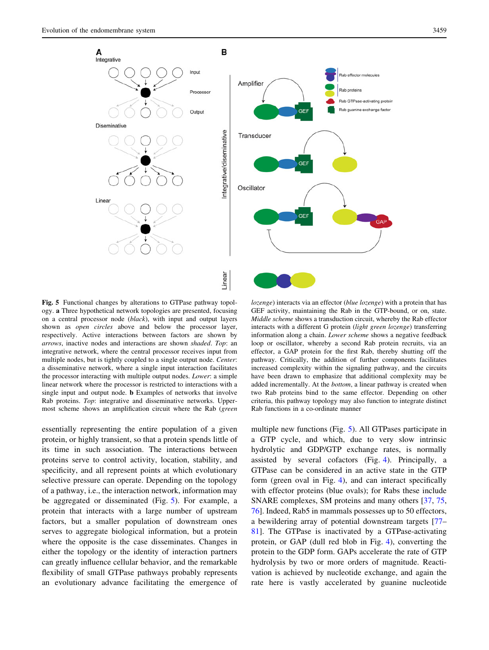<span id="page-10-0"></span>

Fig. 5 Functional changes by alterations to GTPase pathway topology. a Three hypothetical network topologies are presented, focusing on a central processor node (black), with input and output layers shown as open circles above and below the processor layer, respectively. Active interactions between factors are shown by arrows, inactive nodes and interactions are shown shaded. Top: an integrative network, where the central processor receives input from multiple nodes, but is tightly coupled to a single output node. Center: a disseminative network, where a single input interaction facilitates the processor interacting with multiple output nodes. Lower: a simple linear network where the processor is restricted to interactions with a single input and output node. b Examples of networks that involve Rab proteins. Top: integrative and disseminative networks. Uppermost scheme shows an amplification circuit where the Rab (green

essentially representing the entire population of a given protein, or highly transient, so that a protein spends little of its time in such association. The interactions between proteins serve to control activity, location, stability, and specificity, and all represent points at which evolutionary selective pressure can operate. Depending on the topology of a pathway, i.e., the interaction network, information may be aggregated or disseminated (Fig. 5). For example, a protein that interacts with a large number of upstream factors, but a smaller population of downstream ones serves to aggregate biological information, but a protein where the opposite is the case disseminates. Changes in either the topology or the identity of interaction partners can greatly influence cellular behavior, and the remarkable flexibility of small GTPase pathways probably represents an evolutionary advance facilitating the emergence of

lozenge) interacts via an effector (blue lozenge) with a protein that has GEF activity, maintaining the Rab in the GTP-bound, or on, state. Middle scheme shows a transduction circuit, whereby the Rab effector interacts with a different G protein (light green lozenge) transferring information along a chain. Lower scheme shows a negative feedback loop or oscillator, whereby a second Rab protein recruits, via an effector, a GAP protein for the first Rab, thereby shutting off the pathway. Critically, the addition of further components facilitates increased complexity within the signaling pathway, and the circuits have been drawn to emphasize that additional complexity may be added incrementally. At the bottom, a linear pathway is created when two Rab proteins bind to the same effector. Depending on other criteria, this pathway topology may also function to integrate distinct Rab functions in a co-ordinate manner

multiple new functions (Fig. 5). All GTPases participate in a GTP cycle, and which, due to very slow intrinsic hydrolytic and GDP/GTP exchange rates, is normally assisted by several cofactors (Fig. [4\)](#page-8-0). Principally, a GTPase can be considered in an active state in the GTP form (green oval in Fig. [4](#page-8-0)), and can interact specifically with effector proteins (blue ovals); for Rabs these include SNARE complexes, SM proteins and many others [\[37](#page-14-0), [75,](#page-15-0) [76](#page-15-0)]. Indeed, Rab5 in mammals possesses up to 50 effectors, a bewildering array of potential downstream targets [\[77](#page-15-0)– [81](#page-16-0)]. The GTPase is inactivated by a GTPase-activating protein, or GAP (dull red blob in Fig. [4](#page-8-0)), converting the protein to the GDP form. GAPs accelerate the rate of GTP hydrolysis by two or more orders of magnitude. Reactivation is achieved by nucleotide exchange, and again the rate here is vastly accelerated by guanine nucleotide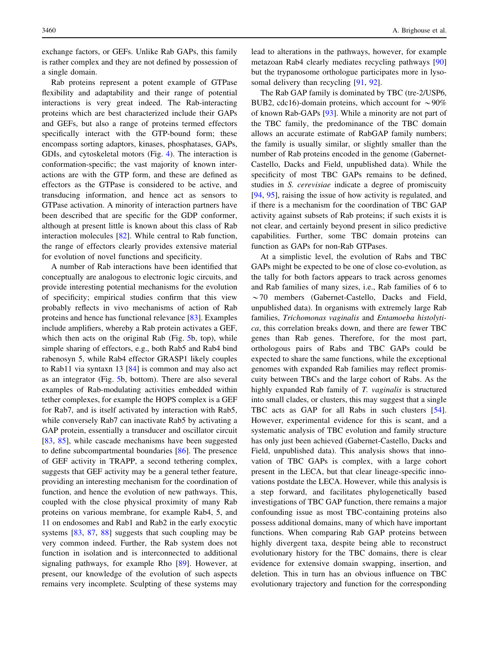exchange factors, or GEFs. Unlike Rab GAPs, this family is rather complex and they are not defined by possession of a single domain.

Rab proteins represent a potent example of GTPase flexibility and adaptability and their range of potential interactions is very great indeed. The Rab-interacting proteins which are best characterized include their GAPs and GEFs, but also a range of proteins termed effectors specifically interact with the GTP-bound form; these encompass sorting adaptors, kinases, phosphatases, GAPs, GDIs, and cytoskeletal motors (Fig. [4](#page-8-0)). The interaction is conformation-specific; the vast majority of known interactions are with the GTP form, and these are defined as effectors as the GTPase is considered to be active, and transducing information, and hence act as sensors to GTPase activation. A minority of interaction partners have been described that are specific for the GDP conformer, although at present little is known about this class of Rab interaction molecules [[82\]](#page-16-0). While central to Rab function, the range of effectors clearly provides extensive material for evolution of novel functions and specificity.

A number of Rab interactions have been identified that conceptually are analogous to electronic logic circuits, and provide interesting potential mechanisms for the evolution of specificity; empirical studies confirm that this view probably reflects in vivo mechanisms of action of Rab proteins and hence has functional relevance [\[83](#page-16-0)]. Examples include amplifiers, whereby a Rab protein activates a GEF, which then acts on the original Rab (Fig. [5b](#page-10-0), top), while simple sharing of effectors, e.g., both Rab5 and Rab4 bind rabenosyn 5, while Rab4 effector GRASP1 likely couples to Rab11 via syntaxn 13 [[84\]](#page-16-0) is common and may also act as an integrator (Fig. [5](#page-10-0)b, bottom). There are also several examples of Rab-modulating activities embedded within tether complexes, for example the HOPS complex is a GEF for Rab7, and is itself activated by interaction with Rab5, while conversely Rab7 can inactivate Rab5 by activating a GAP protein, essentially a transducer and oscillator circuit [\[83](#page-16-0), [85\]](#page-16-0), while cascade mechanisms have been suggested to define subcompartmental boundaries [[86\]](#page-16-0). The presence of GEF activity in TRAPP, a second tethering complex, suggests that GEF activity may be a general tether feature, providing an interesting mechanism for the coordination of function, and hence the evolution of new pathways. This, coupled with the close physical proximity of many Rab proteins on various membrane, for example Rab4, 5, and 11 on endosomes and Rab1 and Rab2 in the early exocytic systems [[83,](#page-16-0) [87](#page-16-0), [88\]](#page-16-0) suggests that such coupling may be very common indeed. Further, the Rab system does not function in isolation and is interconnected to additional signaling pathways, for example Rho [\[89](#page-16-0)]. However, at present, our knowledge of the evolution of such aspects remains very incomplete. Sculpting of these systems may lead to alterations in the pathways, however, for example metazoan Rab4 clearly mediates recycling pathways [[90\]](#page-16-0) but the trypanosome orthologue participates more in lysosomal delivery than recycling [\[91](#page-16-0), [92\]](#page-16-0).

The Rab GAP family is dominated by TBC (tre-2/USP6, BUB2, cdc16)-domain proteins, which account for  $\sim$ 90% of known Rab-GAPs [\[93](#page-16-0)]. While a minority are not part of the TBC family, the predominance of the TBC domain allows an accurate estimate of RabGAP family numbers; the family is usually similar, or slightly smaller than the number of Rab proteins encoded in the genome (Gabernet-Castello, Dacks and Field, unpublished data). While the specificity of most TBC GAPs remains to be defined, studies in S. cerevisiae indicate a degree of promiscuity [\[94](#page-16-0), [95\]](#page-16-0), raising the issue of how activity is regulated, and if there is a mechanism for the coordination of TBC GAP activity against subsets of Rab proteins; if such exists it is not clear, and certainly beyond present in silico predictive capabilities. Further, some TBC domain proteins can function as GAPs for non-Rab GTPases.

At a simplistic level, the evolution of Rabs and TBC GAPs might be expected to be one of close co-evolution, as the tally for both factors appears to track across genomes and Rab families of many sizes, i.e., Rab families of 6 to  $\sim$  70 members (Gabernet-Castello, Dacks and Field, unpublished data). In organisms with extremely large Rab families, Trichomonas vaginalis and Entamoeba histolytica, this correlation breaks down, and there are fewer TBC genes than Rab genes. Therefore, for the most part, orthologous pairs of Rabs and TBC GAPs could be expected to share the same functions, while the exceptional genomes with expanded Rab families may reflect promiscuity between TBCs and the large cohort of Rabs. As the highly expanded Rab family of T. *vaginalis* is structured into small clades, or clusters, this may suggest that a single TBC acts as GAP for all Rabs in such clusters [\[54](#page-15-0)]. However, experimental evidence for this is scant, and a systematic analysis of TBC evolution and family structure has only just been achieved (Gabernet-Castello, Dacks and Field, unpublished data). This analysis shows that innovation of TBC GAPs is complex, with a large cohort present in the LECA, but that clear lineage-specific innovations postdate the LECA. However, while this analysis is a step forward, and facilitates phylogenetically based investigations of TBC GAP function, there remains a major confounding issue as most TBC-containing proteins also possess additional domains, many of which have important functions. When comparing Rab GAP proteins between highly divergent taxa, despite being able to reconstruct evolutionary history for the TBC domains, there is clear evidence for extensive domain swapping, insertion, and deletion. This in turn has an obvious influence on TBC evolutionary trajectory and function for the corresponding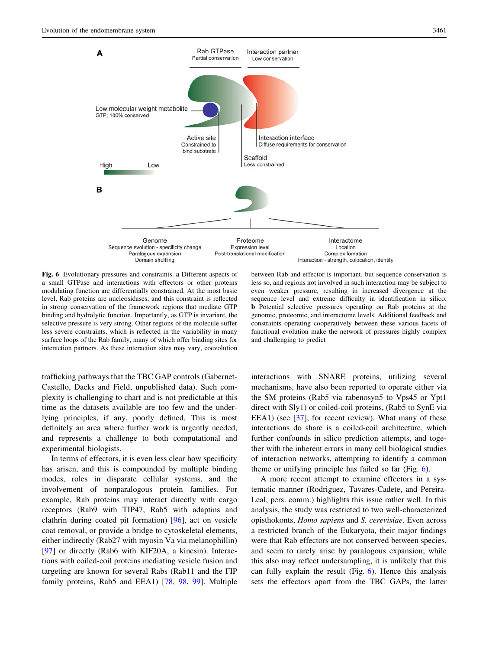

Fig. 6 Evolutionary pressures and constraints. a Different aspects of a small GTPase and interactions with effectors or other proteins modulating function are differentially constrained. At the most basic level, Rab proteins are nucleosidases, and this constraint is reflected in strong conservation of the framework regions that mediate GTP binding and hydrolytic function. Importantly, as GTP is invariant, the selective pressure is very strong. Other regions of the molecule suffer less severe constraints, which is reflected in the variability in many surface loops of the Rab family, many of which offer binding sites for interaction partners. As these interaction sites may vary, coevolution

sequence level and extreme difficulty in identification in silico. b Potential selective pressures operating on Rab proteins at the genomic, proteomic, and interactome levels. Additional feedback and constraints operating cooperatively between these various facets of functional evolution make the network of pressures highly complex and challenging to predict

less so, and regions not involved in such interaction may be subject to even weaker pressure, resulting in increased divergence at the

trafficking pathways that the TBC GAP controls (Gabernet-Castello, Dacks and Field, unpublished data). Such complexity is challenging to chart and is not predictable at this time as the datasets available are too few and the underlying principles, if any, poorly defined. This is most definitely an area where further work is urgently needed, and represents a challenge to both computational and experimental biologists.

In terms of effectors, it is even less clear how specificity has arisen, and this is compounded by multiple binding modes, roles in disparate cellular systems, and the involvement of nonparalogous protein families. For example, Rab proteins may interact directly with cargo receptors (Rab9 with TIP47, Rab5 with adaptins and clathrin during coated pit formation) [\[96](#page-16-0)], act on vesicle coat removal, or provide a bridge to cytoskeletal elements, either indirectly (Rab27 with myosin Va via melanophillin) [\[97](#page-16-0)] or directly (Rab6 with KIF20A, a kinesin). Interactions with coiled-coil proteins mediating vesicle fusion and targeting are known for several Rabs (Rab11 and the FIP family proteins, Rab5 and EEA1) [[78,](#page-15-0) [98,](#page-16-0) [99](#page-16-0)]. Multiple interactions with SNARE proteins, utilizing several mechanisms, have also been reported to operate either via the SM proteins (Rab5 via rabenosyn5 to Vps45 or Ypt1 direct with Sly1) or coiled-coil proteins, (Rab5 to SynE via EEA1) (see [[37\]](#page-14-0), for recent review). What many of these interactions do share is a coiled-coil architecture, which further confounds in silico prediction attempts, and together with the inherent errors in many cell biological studies of interaction networks, attempting to identify a common theme or unifying principle has failed so far (Fig. 6).

A more recent attempt to examine effectors in a systematic manner (Rodriguez, Tavares-Cadete, and Pereira-Leal, pers. comm.) highlights this issue rather well. In this analysis, the study was restricted to two well-characterized opisthokonts, Homo sapiens and S. cerevisiae. Even across a restricted branch of the Eukaryota, their major findings were that Rab effectors are not conserved between species, and seem to rarely arise by paralogous expansion; while this also may reflect undersampling, it is unlikely that this can fully explain the result (Fig. 6). Hence this analysis sets the effectors apart from the TBC GAPs, the latter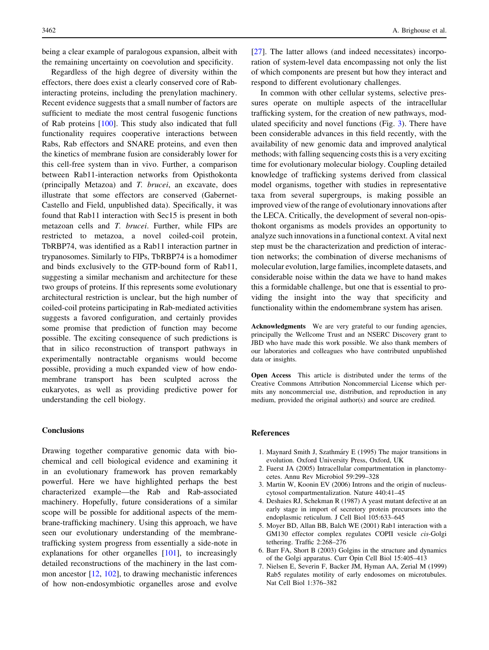<span id="page-13-0"></span>being a clear example of paralogous expansion, albeit with the remaining uncertainty on coevolution and specificity.

Regardless of the high degree of diversity within the effectors, there does exist a clearly conserved core of Rabinteracting proteins, including the prenylation machinery. Recent evidence suggests that a small number of factors are sufficient to mediate the most central fusogenic functions of Rab proteins [[100\]](#page-16-0). This study also indicated that full functionality requires cooperative interactions between Rabs, Rab effectors and SNARE proteins, and even then the kinetics of membrane fusion are considerably lower for this cell-free system than in vivo. Further, a comparison between Rab11-interaction networks from Opisthokonta (principally Metazoa) and T. brucei, an excavate, does illustrate that some effectors are conserved (Gabernet-Castello and Field, unpublished data). Specifically, it was found that Rab11 interaction with Sec15 is present in both metazoan cells and T. brucei. Further, while FIPs are restricted to metazoa, a novel coiled-coil protein, TbRBP74, was identified as a Rab11 interaction partner in trypanosomes. Similarly to FIPs, TbRBP74 is a homodimer and binds exclusively to the GTP-bound form of Rab11, suggesting a similar mechanism and architecture for these two groups of proteins. If this represents some evolutionary architectural restriction is unclear, but the high number of coiled-coil proteins participating in Rab-mediated activities suggests a favored configuration, and certainly provides some promise that prediction of function may become possible. The exciting consequence of such predictions is that in silico reconstruction of transport pathways in experimentally nontractable organisms would become possible, providing a much expanded view of how endomembrane transport has been sculpted across the eukaryotes, as well as providing predictive power for understanding the cell biology.

### **Conclusions**

Drawing together comparative genomic data with biochemical and cell biological evidence and examining it in an evolutionary framework has proven remarkably powerful. Here we have highlighted perhaps the best characterized example—the Rab and Rab-associated machinery. Hopefully, future considerations of a similar scope will be possible for additional aspects of the membrane-trafficking machinery. Using this approach, we have seen our evolutionary understanding of the membranetrafficking system progress from essentially a side-note in explanations for other organelles [[101](#page-16-0)], to increasingly detailed reconstructions of the machinery in the last common ancestor [\[12](#page-14-0), [102\]](#page-16-0), to drawing mechanistic inferences of how non-endosymbiotic organelles arose and evolve [\[27](#page-14-0)]. The latter allows (and indeed necessitates) incorporation of system-level data encompassing not only the list of which components are present but how they interact and respond to different evolutionary challenges.

In common with other cellular systems, selective pressures operate on multiple aspects of the intracellular trafficking system, for the creation of new pathways, modulated specificity and novel functions (Fig. [3\)](#page-3-0). There have been considerable advances in this field recently, with the availability of new genomic data and improved analytical methods; with falling sequencing costs this is a very exciting time for evolutionary molecular biology. Coupling detailed knowledge of trafficking systems derived from classical model organisms, together with studies in representative taxa from several supergroups, is making possible an improved view of the range of evolutionary innovations after the LECA. Critically, the development of several non-opisthokont organisms as models provides an opportunity to analyze such innovations in a functional context. A vital next step must be the characterization and prediction of interaction networks; the combination of diverse mechanisms of molecular evolution, large families, incomplete datasets, and considerable noise within the data we have to hand makes this a formidable challenge, but one that is essential to providing the insight into the way that specificity and functionality within the endomembrane system has arisen.

Acknowledgments We are very grateful to our funding agencies, principally the Wellcome Trust and an NSERC Discovery grant to JBD who have made this work possible. We also thank members of our laboratories and colleagues who have contributed unpublished data or insights.

Open Access This article is distributed under the terms of the Creative Commons Attribution Noncommercial License which permits any noncommercial use, distribution, and reproduction in any medium, provided the original author(s) and source are credited.

#### References

- 1. Maynard Smith J, Szathma´ry E (1995) The major transitions in evolution. Oxford University Press, Oxford, UK
- 2. Fuerst JA (2005) Intracellular compartmentation in planctomycetes. Annu Rev Microbiol 59:299–328
- 3. Martin W, Koonin EV (2006) Introns and the origin of nucleuscytosol compartmentalization. Nature 440:41–45
- 4. Deshaies RJ, Schekman R (1987) A yeast mutant defective at an early stage in import of secretory protein precursors into the endoplasmic reticulum. J Cell Biol 105:633–645
- 5. Moyer BD, Allan BB, Balch WE (2001) Rab1 interaction with a GM130 effector complex regulates COPII vesicle cis-Golgi tethering. Traffic 2:268–276
- 6. Barr FA, Short B (2003) Golgins in the structure and dynamics of the Golgi apparatus. Curr Opin Cell Biol 15:405–413
- 7. Nielsen E, Severin F, Backer JM, Hyman AA, Zerial M (1999) Rab5 regulates motility of early endosomes on microtubules. Nat Cell Biol 1:376–382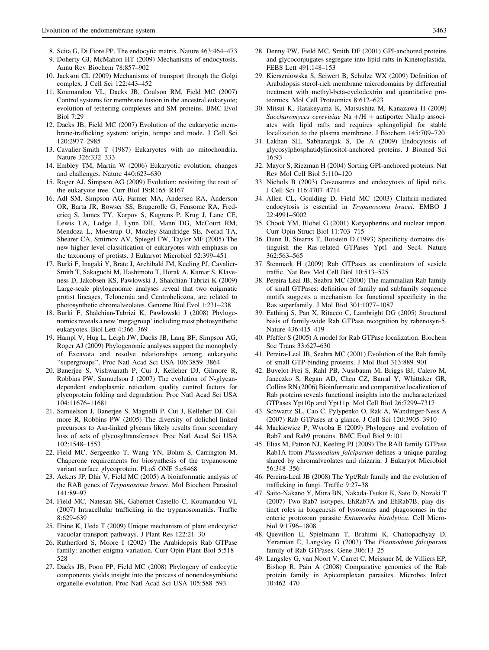- <span id="page-14-0"></span>8. Scita G, Di Fiore PP. The endocytic matrix. Nature 463:464–473
- 9. Doherty GJ, McMahon HT (2009) Mechanisms of endocytosis. Annu Rev Biochem 78:857–902
- 10. Jackson CL (2009) Mechanisms of transport through the Golgi complex. J Cell Sci 122:443–452
- 11. Koumandou VL, Dacks JB, Coulson RM, Field MC (2007) Control systems for membrane fusion in the ancestral eukaryote; evolution of tethering complexes and SM proteins. BMC Evol Biol 7:29
- 12. Dacks JB, Field MC (2007) Evolution of the eukaryotic membrane-trafficking system: origin, tempo and mode. J Cell Sci 120:2977–2985
- 13. Cavalier-Smith T (1987) Eukaryotes with no mitochondria. Nature 326:332–333
- 14. Embley TM, Martin W (2006) Eukaryotic evolution, changes and challenges. Nature 440:623–630
- 15. Roger AJ, Simpson AG (2009) Evolution: revisiting the root of the eukaryote tree. Curr Biol 19:R165–R167
- 16. Adl SM, Simpson AG, Farmer MA, Andersen RA, Anderson OR, Barta JR, Bowser SS, Brugerolle G, Fensome RA, Fredericq S, James TY, Karpov S, Kugrens P, Krug J, Lane CE, Lewis LA, Lodge J, Lynn DH, Mann DG, McCourt RM, Mendoza L, Moestrup O, Mozley-Standridge SE, Nerad TA, Shearer CA, Smirnov AV, Spiegel FW, Taylor MF (2005) The new higher level classification of eukaryotes with emphasis on the taxonomy of protists. J Eukaryot Microbiol 52:399–451
- 17. Burki F, Inagaki Y, Brate J, Archibald JM, Keeling PJ, Cavalier-Smith T, Sakaguchi M, Hashimoto T, Horak A, Kumar S, Klaveness D, Jakobsen KS, Pawlowski J, Shalchian-Tabrizi K (2009) Large-scale phylogenomic analyses reveal that two enigmatic protist lineages, Telonemia and Centroheliozoa, are related to photosynthetic chromalveolates. Genome Biol Evol 1:231–238
- 18. Burki F, Shalchian-Tabrizi K, Pawlowski J (2008) Phylogenomics reveals a new 'megagroup' including most photosynthetic eukaryotes. Biol Lett 4:366–369
- 19. Hampl V, Hug L, Leigh JW, Dacks JB, Lang BF, Simpson AG, Roger AJ (2009) Phylogenomic analyses support the monophyly of Excavata and resolve relationships among eukaryotic ''supergroups''. Proc Natl Acad Sci USA 106:3859–3864
- 20. Banerjee S, Vishwanath P, Cui J, Kelleher DJ, Gilmore R, Robbins PW, Samuelson J (2007) The evolution of N-glycandependent endoplasmic reticulum quality control factors for glycoprotein folding and degradation. Proc Natl Acad Sci USA 104:11676–11681
- 21. Samuelson J, Banerjee S, Magnelli P, Cui J, Kelleher DJ, Gilmore R, Robbins PW (2005) The diversity of dolichol-linked precursors to Asn-linked glycans likely results from secondary loss of sets of glycosyltransferases. Proc Natl Acad Sci USA 102:1548–1553
- 22. Field MC, Sergeenko T, Wang YN, Bohm S, Carrington M. Chaperone requirements for biosynthesis of the trypanosome variant surface glycoprotein. PLoS ONE 5:e8468
- 23. Ackers JP, Dhir V, Field MC (2005) A bioinformatic analysis of the RAB genes of Trypanosoma brucei. Mol Biochem Parasitol 141:89–97
- 24. Field MC, Natesan SK, Gabernet-Castello C, Koumandou VL (2007) Intracellular trafficking in the trypanosomatids. Traffic 8:629–639
- 25. Ebine K, Ueda T (2009) Unique mechanism of plant endocytic/ vacuolar transport pathways. J Plant Res 122:21–30
- 26. Rutherford S, Moore I (2002) The Arabidopsis Rab GTPase family: another enigma variation. Curr Opin Plant Biol 5:518– 528
- 27. Dacks JB, Poon PP, Field MC (2008) Phylogeny of endocytic components yields insight into the process of nonendosymbiotic organelle evolution. Proc Natl Acad Sci USA 105:588–593
- 28. Denny PW, Field MC, Smith DF (2001) GPI-anchored proteins and glycoconjugates segregate into lipid rafts in Kinetoplastida. FEBS Lett 491:148–153
- 29. Kierszniowska S, Seiwert B, Schulze WX (2009) Definition of Arabidopsis sterol-rich membrane microdomains by differential treatment with methyl-beta-cyclodextrin and quantitative proteomics. Mol Cell Proteomics 8:612–623
- 30. Mitsui K, Hatakeyama K, Matsushita M, Kanazawa H (2009) Saccharomyces cerevisiae Na  $+$ /H  $+$  antiporter Nha1p associates with lipid rafts and requires sphingolipid for stable localization to the plasma membrane. J Biochem 145:709–720
- 31. Lakhan SE, Sabharanjak S, De A (2009) Endocytosis of glycosylphosphatidylinositol-anchored proteins. J Biomed Sci 16:93
- 32. Mayor S, Riezman H (2004) Sorting GPI-anchored proteins. Nat Rev Mol Cell Biol 5:110–120
- 33. Nichols B (2003) Caveosomes and endocytosis of lipid rafts. J Cell Sci 116:4707–4714
- 34. Allen CL, Goulding D, Field MC (2003) Clathrin-mediated endocytosis is essential in Trypanosoma brucei. EMBO J 22:4991–5002
- 35. Chook YM, Blobel G (2001) Karyopherins and nuclear import. Curr Opin Struct Biol 11:703–715
- 36. Dunn B, Stearns T, Botstein D (1993) Specificity domains distinguish the Ras-related GTPases Ypt1 and Sec4. Nature 362:563–565
- 37. Stenmark H (2009) Rab GTPases as coordinators of vesicle traffic. Nat Rev Mol Cell Biol 10:513–525
- 38. Pereira-Leal JB, Seabra MC (2000) The mammalian Rab family of small GTPases: definition of family and subfamily sequence motifs suggests a mechanism for functional specificity in the Ras superfamily. J Mol Biol 301:1077–1087
- 39. Eathiraj S, Pan X, Ritacco C, Lambright DG (2005) Structural basis of family-wide Rab GTPase recognition by rabenosyn-5. Nature 436:415–419
- 40. Pfeffer S (2005) A model for Rab GTPase localization. Biochem Soc Trans 33:627–630
- 41. Pereira-Leal JB, Seabra MC (2001) Evolution of the Rab family of small GTP-binding proteins. J Mol Biol 313:889–901
- 42. Buvelot Frei S, Rahl PB, Nussbaum M, Briggs BJ, Calero M, Janeczko S, Regan AD, Chen CZ, Barral Y, Whittaker GR, Collins RN (2006) Bioinformatic and comparative localization of Rab proteins reveals functional insights into the uncharacterized GTPases Ypt10p and Ypt11p. Mol Cell Biol 26:7299–7317
- 43. Schwartz SL, Cao C, Pylypenko O, Rak A, Wandinger-Ness A (2007) Rab GTPases at a glance. J Cell Sci 120:3905–3910
- 44. Mackiewicz P, Wyroba E (2009) Phylogeny and evolution of Rab7 and Rab9 proteins. BMC Evol Biol 9:101
- 45. Elias M, Patron NJ, Keeling PJ (2009) The RAB family GTPase Rab1A from Plasmodium falciparum defines a unique paralog shared by chromalveolates and rhizaria. J Eukaryot Microbiol 56:348–356
- 46. Pereira-Leal JB (2008) The Ypt/Rab family and the evolution of trafficking in fungi. Traffic 9:27–38
- 47. Saito-Nakano Y, Mitra BN, Nakada-Tsukui K, Sato D, Nozaki T (2007) Two Rab7 isotypes, EhRab7A and EhRab7B, play distinct roles in biogenesis of lysosomes and phagosomes in the enteric protozoan parasite Entamoeba histolytica. Cell Microbiol 9:1796–1808
- 48. Quevillon E, Spielmann T, Brahimi K, Chattopadhyay D, Yeramian E, Langsley G (2003) The Plasmodium falciparum family of Rab GTPases. Gene 306:13–25
- 49. Langsley G, van Noort V, Carret C, Meissner M, de Villiers EP, Bishop R, Pain A (2008) Comparative genomics of the Rab protein family in Apicomplexan parasites. Microbes Infect 10:462–470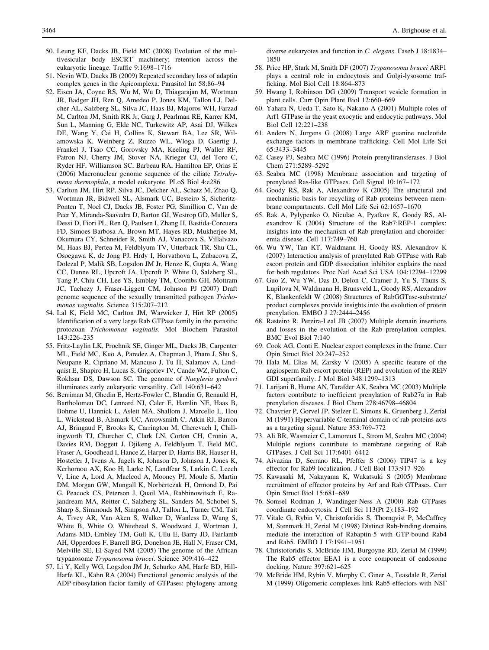- <span id="page-15-0"></span>50. Leung KF, Dacks JB, Field MC (2008) Evolution of the multivesicular body ESCRT machinery; retention across the eukaryotic lineage. Traffic 9:1698–1716
- 51. Nevin WD, Dacks JB (2009) Repeated secondary loss of adaptin complex genes in the Apicomplexa. Parasitol Int 58:86–94
- 52. Eisen JA, Coyne RS, Wu M, Wu D, Thiagarajan M, Wortman JR, Badger JH, Ren Q, Amedeo P, Jones KM, Tallon LJ, Delcher AL, Salzberg SL, Silva JC, Haas BJ, Majoros WH, Farzad M, Carlton JM, Smith RK Jr, Garg J, Pearlman RE, Karrer KM, Sun L, Manning G, Elde NC, Turkewitz AP, Asai DJ, Wilkes DE, Wang Y, Cai H, Collins K, Stewart BA, Lee SR, Wilamowska K, Weinberg Z, Ruzzo WL, Wloga D, Gaertig J, Frankel J, Tsao CC, Gorovsky MA, Keeling PJ, Waller RF, Patron NJ, Cherry JM, Stover NA, Krieger CJ, del Toro C, Ryder HF, Williamson SC, Barbeau RA, Hamilton EP, Orias E (2006) Macronuclear genome sequence of the ciliate Tetrahymena thermophila, a model eukaryote. PLoS Biol 4:e286
- 53. Carlton JM, Hirt RP, Silva JC, Delcher AL, Schatz M, Zhao Q, Wortman JR, Bidwell SL, Alsmark UC, Besteiro S, Sicheritz-Ponten T, Noel CJ, Dacks JB, Foster PG, Simillion C, Van de Peer Y, Miranda-Saavedra D, Barton GJ, Westrop GD, Muller S, Dessi D, Fiori PL, Ren Q, Paulsen I, Zhang H, Bastida-Corcuera FD, Simoes-Barbosa A, Brown MT, Hayes RD, Mukherjee M, Okumura CY, Schneider R, Smith AJ, Vanacova S, Villalvazo M, Haas BJ, Pertea M, Feldblyum TV, Utterback TR, Shu CL, Osoegawa K, de Jong PJ, Hrdy I, Horvathova L, Zubacova Z, Dolezal P, Malik SB, Logsdon JM Jr, Henze K, Gupta A, Wang CC, Dunne RL, Upcroft JA, Upcroft P, White O, Salzberg SL, Tang P, Chiu CH, Lee YS, Embley TM, Coombs GH, Mottram JC, Tachezy J, Fraser-Liggett CM, Johnson PJ (2007) Draft genome sequence of the sexually transmitted pathogen Trichomonas vaginalis. Science 315:207–212
- 54. Lal K, Field MC, Carlton JM, Warwicker J, Hirt RP (2005) Identification of a very large Rab GTPase family in the parasitic protozoan Trichomonas vaginalis. Mol Biochem Parasitol 143:226–235
- 55. Fritz-Laylin LK, Prochnik SE, Ginger ML, Dacks JB, Carpenter ML, Field MC, Kuo A, Paredez A, Chapman J, Pham J, Shu S, Neupane R, Cipriano M, Mancuso J, Tu H, Salamov A, Lindquist E, Shapiro H, Lucas S, Grigoriev IV, Cande WZ, Fulton C, Rokhsar DS, Dawson SC. The genome of Naegleria gruberi illuminates early eukaryotic versatility. Cell 140:631–642
- 56. Berriman M, Ghedin E, Hertz-Fowler C, Blandin G, Renauld H, Bartholomeu DC, Lennard NJ, Caler E, Hamlin NE, Haas B, Bohme U, Hannick L, Aslett MA, Shallom J, Marcello L, Hou L, Wickstead B, Alsmark UC, Arrowsmith C, Atkin RJ, Barron AJ, Bringaud F, Brooks K, Carrington M, Cherevach I, Chillingworth TJ, Churcher C, Clark LN, Corton CH, Cronin A, Davies RM, Doggett J, Djikeng A, Feldblyum T, Field MC, Fraser A, Goodhead I, Hance Z, Harper D, Harris BR, Hauser H, Hostetler J, Ivens A, Jagels K, Johnson D, Johnson J, Jones K, Kerhornou AX, Koo H, Larke N, Landfear S, Larkin C, Leech V, Line A, Lord A, Macleod A, Mooney PJ, Moule S, Martin DM, Morgan GW, Mungall K, Norbertczak H, Ormond D, Pai G, Peacock CS, Peterson J, Quail MA, Rabbinowitsch E, Rajandream MA, Reitter C, Salzberg SL, Sanders M, Schobel S, Sharp S, Simmonds M, Simpson AJ, Tallon L, Turner CM, Tait A, Tivey AR, Van Aken S, Walker D, Wanless D, Wang S, White B, White O, Whitehead S, Woodward J, Wortman J, Adams MD, Embley TM, Gull K, Ullu E, Barry JD, Fairlamb AH, Opperdoes F, Barrell BG, Donelson JE, Hall N, Fraser CM, Melville SE, El-Sayed NM (2005) The genome of the African trypanosome Trypanosoma brucei. Science 309:416–422
- 57. Li Y, Kelly WG, Logsdon JM Jr, Schurko AM, Harfe BD, Hill-Harfe KL, Kahn RA (2004) Functional genomic analysis of the ADP-ribosylation factor family of GTPases: phylogeny among

diverse eukaryotes and function in C. elegans. Faseb J 18:1834– 1850

- 58. Price HP, Stark M, Smith DF (2007) Trypanosoma brucei ARF1 plays a central role in endocytosis and Golgi-lysosome trafficking. Mol Biol Cell 18:864–873
- 59. Hwang I, Robinson DG (2009) Transport vesicle formation in plant cells. Curr Opin Plant Biol 12:660–669
- 60. Yahara N, Ueda T, Sato K, Nakano A (2001) Multiple roles of Arf1 GTPase in the yeast exocytic and endocytic pathways. Mol Biol Cell 12:221–238
- 61. Anders N, Jurgens G (2008) Large ARF guanine nucleotide exchange factors in membrane trafficking. Cell Mol Life Sci 65:3433–3445
- 62. Casey PJ, Seabra MC (1996) Protein prenyltransferases. J Biol Chem 271:5289–5292
- 63. Seabra MC (1998) Membrane association and targeting of prenylated Ras-like GTPases. Cell Signal 10:167–172
- 64. Goody RS, Rak A, Alexandrov K (2005) The structural and mechanistic basis for recycling of Rab proteins between membrane compartments. Cell Mol Life Sci 62:1657–1670
- 65. Rak A, Pylypenko O, Niculae A, Pyatkov K, Goody RS, Alexandrov K (2004) Structure of the Rab7:REP-1 complex: insights into the mechanism of Rab prenylation and choroideremia disease. Cell 117:749–760
- 66. Wu YW, Tan KT, Waldmann H, Goody RS, Alexandrov K (2007) Interaction analysis of prenylated Rab GTPase with Rab escort protein and GDP dissociation inhibitor explains the need for both regulators. Proc Natl Acad Sci USA 104:12294–12299
- 67. Guo Z, Wu YW, Das D, Delon C, Cramer J, Yu S, Thuns S, Lupilova N, Waldmann H, Brunsveld L, Goody RS, Alexandrov K, Blankenfeldt W (2008) Structures of RabGGTase-substrate/ product complexes provide insights into the evolution of protein prenylation. EMBO J 27:2444–2456
- 68. Rasteiro R, Pereira-Leal JB (2007) Multiple domain insertions and losses in the evolution of the Rab prenylation complex. BMC Evol Biol 7:140
- 69. Cook AG, Conti E. Nuclear export complexes in the frame. Curr Opin Struct Biol 20:247–252
- 70. Hala M, Elias M, Zarsky V (2005) A specific feature of the angiosperm Rab escort protein (REP) and evolution of the REP/ GDI superfamily. J Mol Biol 348:1299–1313
- 71. Larijani B, Hume AN, Tarafder AK, Seabra MC (2003) Multiple factors contribute to inefficient prenylation of Rab27a in Rab prenylation diseases. J Biol Chem 278:46798–46804
- 72. Chavrier P, Gorvel JP, Stelzer E, Simons K, Gruenberg J, Zerial M (1991) Hypervariable C-terminal domain of rab proteins acts as a targeting signal. Nature 353:769–772
- 73. Ali BR, Wasmeier C, Lamoreux L, Strom M, Seabra MC (2004) Multiple regions contribute to membrane targeting of Rab GTPases. J Cell Sci 117:6401–6412
- 74. Aivazian D, Serrano RL, Pfeffer S (2006) TIP47 is a key effector for Rab9 localization. J Cell Biol 173:917–926
- 75. Kawasaki M, Nakayama K, Wakatsuki S (2005) Membrane recruitment of effector proteins by Arf and Rab GTPases. Curr Opin Struct Biol 15:681–689
- 76. Somsel Rodman J, Wandinger-Ness A (2000) Rab GTPases coordinate endocytosis. J Cell Sci 113(Pt 2):183–192
- 77. Vitale G, Rybin V, Christoforidis S, Thornqvist P, McCaffrey M, Stenmark H, Zerial M (1998) Distinct Rab-binding domains mediate the interaction of Rabaptin-5 with GTP-bound Rab4 and Rab5. EMBO J 17:1941–1951
- 78. Christoforidis S, McBride HM, Burgoyne RD, Zerial M (1999) The Rab5 effector EEA1 is a core component of endosome docking. Nature 397:621–625
- 79. McBride HM, Rybin V, Murphy C, Giner A, Teasdale R, Zerial M (1999) Oligomeric complexes link Rab5 effectors with NSF